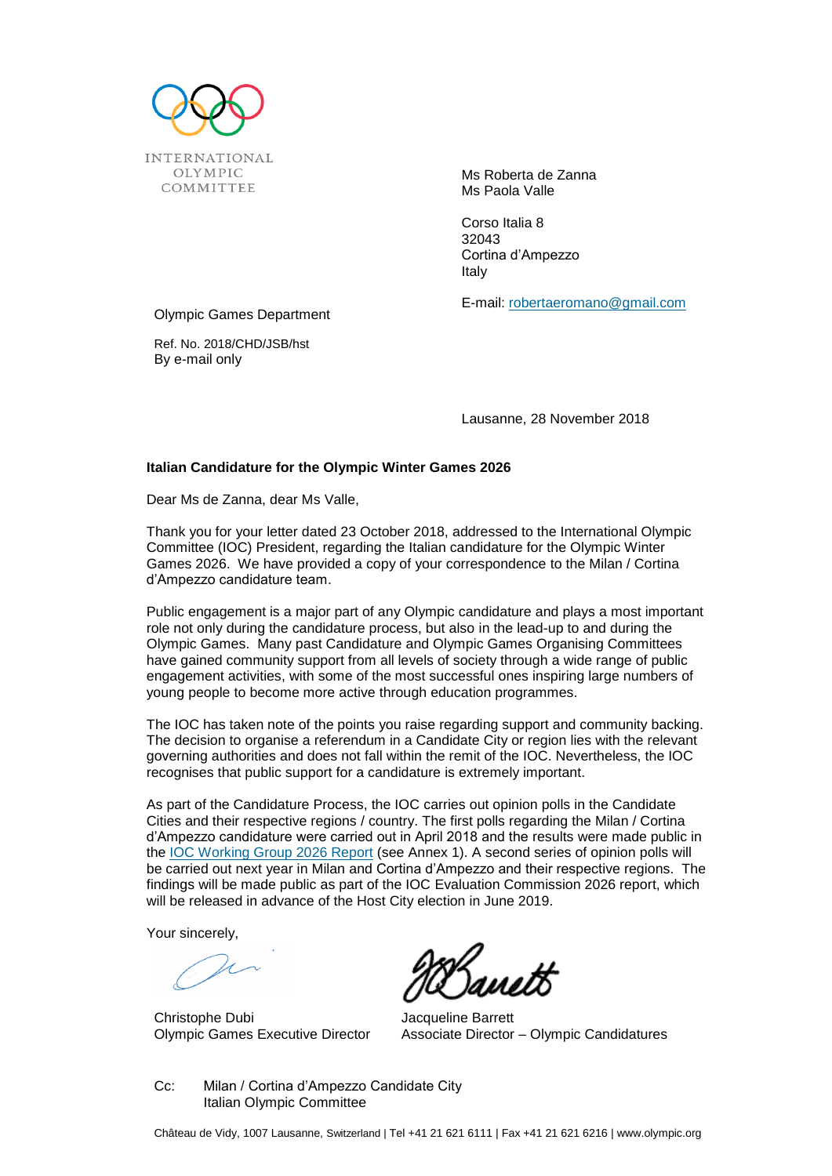

Ms Roberta de Zanna Ms Paola Valle

Corso Italia 8 32043 Cortina d'Ampezzo Italy

Olympic Games Department

Ref. No. 2018/CHD/JSB/hst By e-mail only

Lausanne, 28 November 2018

E-mail: [robertaeromano@gmail.com](mailto:robertaeromano@gmail.com)

## **Italian Candidature for the Olympic Winter Games 2026**

Dear Ms de Zanna, dear Ms Valle,

Thank you for your letter dated 23 October 2018, addressed to the International Olympic Committee (IOC) President, regarding the Italian candidature for the Olympic Winter Games 2026. We have provided a copy of your correspondence to the Milan / Cortina d'Ampezzo candidature team.

Public engagement is a major part of any Olympic candidature and plays a most important role not only during the candidature process, but also in the lead-up to and during the Olympic Games. Many past Candidature and Olympic Games Organising Committees have gained community support from all levels of society through a wide range of public engagement activities, with some of the most successful ones inspiring large numbers of young people to become more active through education programmes.

The IOC has taken note of the points you raise regarding support and community backing. The decision to organise a referendum in a Candidate City or region lies with the relevant governing authorities and does not fall within the remit of the IOC. Nevertheless, the IOC recognises that public support for a candidature is extremely important.

As part of the Candidature Process, the IOC carries out opinion polls in the Candidate Cities and their respective regions / country. The first polls regarding the Milan / Cortina d'Ampezzo candidature were carried out in April 2018 and the results were made public in the [IOC Working Group 2026 Report](https://stillmed.olympic.org/media/Document%20Library/OlympicOrg/Games/Winter-Games/Games-2026-Winter-Olympic-Games/18-029-IOC-ANG-LO-RES.pdf#_ga=2.149079540.338915553.1542017627-790987085.1521115324) (see Annex 1). A second series of opinion polls will be carried out next year in Milan and Cortina d'Ampezzo and their respective regions. The findings will be made public as part of the IOC Evaluation Commission 2026 report, which will be released in advance of the Host City election in June 2019.

Your sincerely,

Christophe Dubi Olympic Games Executive Director

Jacqueline Barrett Associate Director – Olympic Candidatures

Cc: Milan / Cortina d'Ampezzo Candidate City Italian Olympic Committee